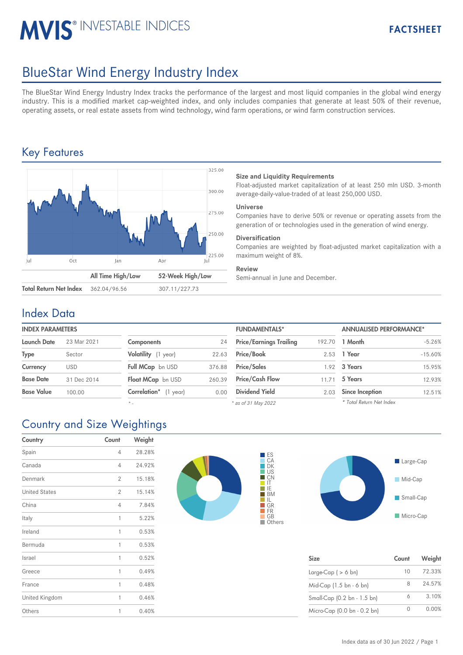# **MVIS® INVESTABLE INDICES**

## BlueStar Wind Energy Industry Index

The BlueStar Wind Energy Industry Index tracks the performance of the largest and most liquid companies in the global wind energy industry. This is a modified market cap-weighted index, and only includes companies that generate at least 50% of their revenue, operating assets, or real estate assets from wind technology, wind farm operations, or wind farm construction services.

### Key Features



#### **Size and Liquidity Requirements**

Float-adjusted market capitalization of at least 250 mln USD. 3-month average-daily-value-traded of at least 250,000 USD.

#### **Universe**

Companies have to derive 50% or revenue or operating assets from the generation of or technologies used in the generation of wind energy.

#### **Diversification**

Companies are weighted by float-adjusted market capitalization with a maximum weight of 8%.

#### **Review**

Semi-annual in June and December.

#### Index Data

| <b>INDEX PARAMETERS</b> |             |                            |        | <b>FUNDAMENTALS*</b>           |        | <b>ANNUALISED PERFORMANCE*</b> |  |
|-------------------------|-------------|----------------------------|--------|--------------------------------|--------|--------------------------------|--|
| <b>Launch Date</b>      | 23 Mar 2021 | <b>Components</b>          | 24     | <b>Price/Earnings Trailing</b> | 192.70 | 1 Month                        |  |
| <b>Type</b>             | Sector      | Volatility (1 year)        | 22.63  | <b>Price/Book</b>              |        | 2.53 1 Year                    |  |
| Currency                | <b>USD</b>  | Full MCap bn USD           | 376.88 | <b>Price/Sales</b>             |        | 1.92 3 Years                   |  |
| <b>Base Date</b>        | 31 Dec 2014 | Float MCap bn USD          | 260.39 | <b>Price/Cash Flow</b>         | 11.71  | 5 Years                        |  |
| <b>Base Value</b>       | 100.00      | Correlation*<br>$(1$ year) | 0.00   | <b>Dividend Yield</b>          | 2.03   | <b>Since Inception</b>         |  |

*\* -*

| <b>FUNDAMENTALS*</b>           |        | <b>ANNUALISED PERFORMANCE*</b> |           |  |
|--------------------------------|--------|--------------------------------|-----------|--|
| <b>Price/Earnings Trailing</b> | 192.70 | 1 Month                        | $-5.26%$  |  |
| Price/Book                     | 2.53   | 1 Year                         | $-15.60%$ |  |
| <b>Price/Sales</b>             |        | 1.92 3 Years                   | 15.95%    |  |
| <b>Price/Cash Flow</b>         | 11.71  | 5 Years                        | 12.93%    |  |
| <b>Dividend Yield</b>          | 2.03   | <b>Since Inception</b>         | 12.51%    |  |
|                                |        |                                |           |  |

*\* as of 31 May 2022*

## Country and Size Weightings

| Country              | Count          | Weight |
|----------------------|----------------|--------|
| Spain                | 4              | 28.28% |
| Canada               | 4              | 24.92% |
| Denmark              | $\overline{2}$ | 15.18% |
| <b>United States</b> | $\overline{2}$ | 15.14% |
| China                | 4              | 7.84%  |
| Italy                | 1              | 5.22%  |
| Ireland              | 1              | 0.53%  |
| Bermuda              | 1              | 0.53%  |
| Israel               | 1              | 0.52%  |
| Greece               | 1              | 0.49%  |
| France               | 1              | 0.48%  |
| United Kingdom       | 1              | 0.46%  |
| Others               | 1              | 0.40%  |





| <b>Size</b>                 | Count | Weight |
|-----------------------------|-------|--------|
| Large-Cap $( > 6$ bn)       | 10    | 72.33% |
| Mid-Cap (1.5 bn - 6 bn)     | 8     | 24.57% |
| Small-Cap (0.2 bn - 1.5 bn) | 6     | 3.10%  |
| Micro-Cap (0.0 bn - 0.2 bn) |       | 0.00%  |